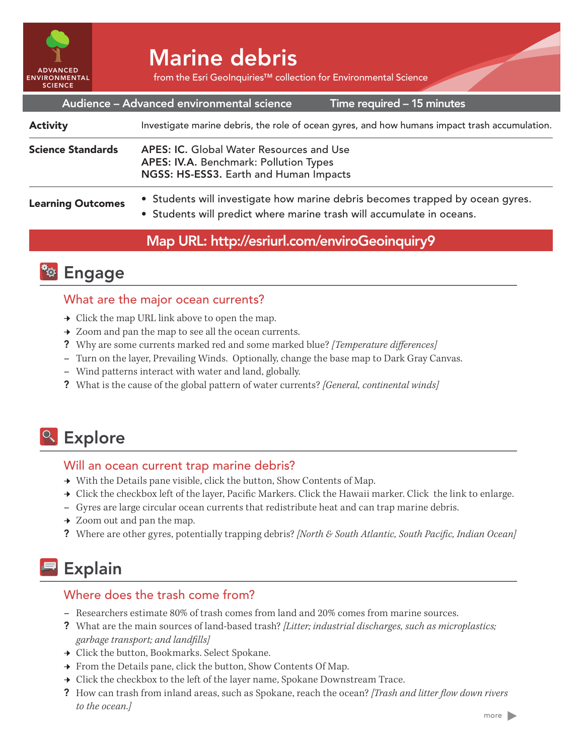

# Marine debris

from the Esri GeoInquiries™ collection for Environmental Science

| Audience - Advanced environmental science<br>Time required - 15 minutes |                                                                                                                                                        |
|-------------------------------------------------------------------------|--------------------------------------------------------------------------------------------------------------------------------------------------------|
| <b>Activity</b>                                                         | Investigate marine debris, the role of ocean gyres, and how humans impact trash accumulation.                                                          |
| <b>Science Standards</b>                                                | <b>APES: IC.</b> Global Water Resources and Use<br>APES: IV.A. Benchmark: Pollution Types<br>NGSS: HS-ESS3. Earth and Human Impacts                    |
| <b>Learning Outcomes</b>                                                | • Students will investigate how marine debris becomes trapped by ocean gyres.<br>• Students will predict where marine trash will accumulate in oceans. |

## Map URL: http://esriurl.com/enviroGeoinquiry9



### What are the major ocean currents?

- → Click the map URL link above to open the map.
- $\rightarrow$  Zoom and pan the map to see all the ocean currents.
- ? Why are some currents marked red and some marked blue? *[Temperature differences]*
- **–** Turn on the layer, Prevailing Winds. Optionally, change the base map to Dark Gray Canvas.
- **–** Wind patterns interact with water and land, globally.
- ? What is the cause of the global pattern of water currents? *[General, continental winds]*

# <sup>o</sup> Explore

#### Will an ocean current trap marine debris?

- $\rightarrow$  With the Details pane visible, click the button, Show Contents of Map.
- → Click the checkbox left of the layer, Pacific Markers. Click the Hawaii marker. Click the link to enlarge.
- **–** Gyres are large circular ocean currents that redistribute heat and can trap marine debris.
- $\rightarrow$  Zoom out and pan the map.
- ? Where are other gyres, potentially trapping debris? *[North & South Atlantic, South Pacific, Indian Ocean]*

# **Explain**

#### Where does the trash come from?

- **–** Researchers estimate 80% of trash comes from land and 20% comes from marine sources.
- ? What are the main sources of land-based trash? *[Litter; industrial discharges, such as microplastics; garbage transport; and landfills]*
- → Click the button, Bookmarks. Select Spokane.
- $\rightarrow$  From the Details pane, click the button, Show Contents Of Map.
- $\rightarrow$  Click the checkbox to the left of the layer name, Spokane Downstream Trace.
- ? How can trash from inland areas, such as Spokane, reach the ocean? *[Trash and litter flow down rivers to the ocean.]*